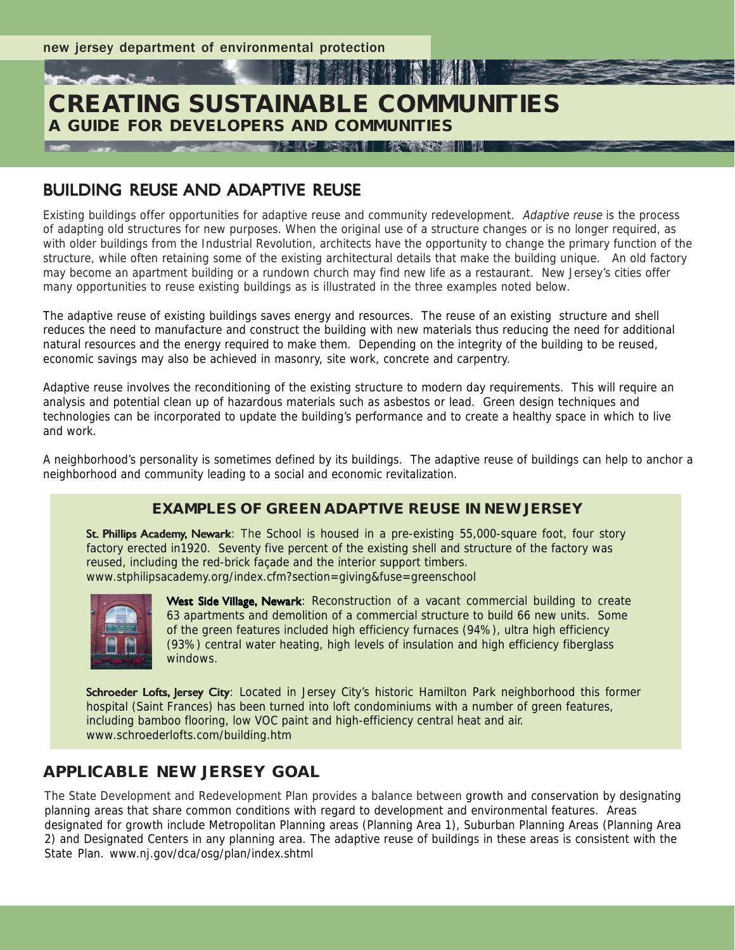# **CREATING SUSTAINABLE COMMUNITIES A GUIDE FOR DEVELOPERS AND COMMUNITIES**

翻解

**A CONTRACTOR AND RESIDENT AND RESIDENTS OF A REPORT OF A REPORT OF A REPORT OF A REPORT OF A REPORT OF A REPORT OF A REPORT OF A REPORT OF A REPORT OF A REPORT OF A REPORT OF A REPORT OF A REPORT OF A REPORT OF A REPORT O** 

# BUILDING REUSE AND ADAPTIVE REUSE

Existing buildings offer opportunities for adaptive reuse and community redevelopment. Adaptive reuse is the process of adapting old structures for new purposes. When the original use of a structure changes or is no longer required, as with older buildings from the Industrial Revolution, architects have the opportunity to change the primary function of the structure, while often retaining some of the existing architectural details that make the building unique. An old factory may become an apartment building or a rundown church may find new life as a restaurant. New Jersey's cities offer many opportunities to reuse existing buildings as is illustrated in the three examples noted below.

**THE REAL PROPERTY** 

The adaptive reuse of existing buildings saves energy and resources. The reuse of an existing structure and shell reduces the need to manufacture and construct the building with new materials thus reducing the need for additional natural resources and the energy required to make them. Depending on the integrity of the building to be reused, economic savings may also be achieved in masonry, site work, concrete and carpentry.

Adaptive reuse involves the reconditioning of the existing structure to modern day requirements. This will require an analysis and potential clean up of hazardous materials such as asbestos or lead. Green design techniques and technologies can be incorporated to update the building's performance and to create a healthy space in which to live and work.

A neighborhood's personality is sometimes defined by its buildings. The adaptive reuse of buildings can help to anchor a neighborhood and community leading to a social and economic revitalization.

### **EXAMPLES OF GREEN ADAPTIVE REUSE IN NEW JERSEY**

St. Phillips Academy, Newark: The School is housed in a pre-existing 55,000-square foot, four story factory erected in1920. Seventy five percent of the existing shell and structure of the factory was reused, including the red-brick façade and the interior support timbers. www.stphilipsacademy.org/index.cfm?section=giving&fuse=greenschool



West Side Village, Newark: Reconstruction of a vacant commercial building to create 63 apartments and demolition of a commercial structure to build 66 new units. Some of the green features included high efficiency furnaces (94%), ultra high efficiency (93%) central water heating, high levels of insulation and high efficiency fiberglass windows.

Schroeder Lofts, Jersey City: Located in Jersey City's historic Hamilton Park neighborhood this former hospital (Saint Frances) has been turned into loft condominiums with a number of green features, including bamboo flooring, low VOC paint and high-efficiency central heat and air. www.schroederlofts.com/building.htm

## **APPLICABLE NEW JERSEY GOAL**

The State Development and Redevelopment Plan provides a balance between growth and conservation by designating planning areas that share common conditions with regard to development and environmental features. Areas designated for growth include Metropolitan Planning areas (Planning Area 1), Suburban Planning Areas (Planning Area 2) and Designated Centers in any planning area. The adaptive reuse of buildings in these areas is consistent with the State Plan. www.nj.gov/dca/osg/plan/index.shtml